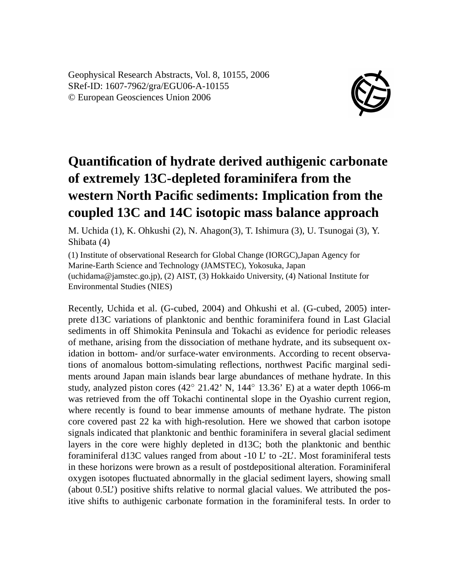Geophysical Research Abstracts, Vol. 8, 10155, 2006 SRef-ID: 1607-7962/gra/EGU06-A-10155 © European Geosciences Union 2006



## **Quantification of hydrate derived authigenic carbonate of extremely 13C-depleted foraminifera from the western North Pacific sediments: Implication from the coupled 13C and 14C isotopic mass balance approach**

M. Uchida (1), K. Ohkushi (2), N. Ahagon(3), T. Ishimura (3), U. Tsunogai (3), Y. Shibata (4)

(1) Institute of observational Research for Global Change (IORGC),Japan Agency for Marine-Earth Science and Technology (JAMSTEC), Yokosuka, Japan (uchidama@jamstec.go.jp), (2) AIST, (3) Hokkaido University, (4) National Institute for Environmental Studies (NIES)

Recently, Uchida et al. (G-cubed, 2004) and Ohkushi et al. (G-cubed, 2005) interprete d13C variations of planktonic and benthic foraminifera found in Last Glacial sediments in off Shimokita Peninsula and Tokachi as evidence for periodic releases of methane, arising from the dissociation of methane hydrate, and its subsequent oxidation in bottom- and/or surface-water environments. According to recent observations of anomalous bottom-simulating reflections, northwest Pacific marginal sediments around Japan main islands bear large abundances of methane hydrate. In this study, analyzed piston cores (42◦ 21.42' N, 144◦ 13.36' E) at a water depth 1066-m was retrieved from the off Tokachi continental slope in the Oyashio current region, where recently is found to bear immense amounts of methane hydrate. The piston core covered past 22 ka with high-resolution. Here we showed that carbon isotope signals indicated that planktonic and benthic foraminifera in several glacial sediment layers in the core were highly depleted in d13C; both the planktonic and benthic foraminiferal d13C values ranged from about -10 L' to -2L'. Most foraminiferal tests in these horizons were brown as a result of postdepositional alteration. Foraminiferal oxygen isotopes fluctuated abnormally in the glacial sediment layers, showing small (about 0.5L') positive shifts relative to normal glacial values. We attributed the positive shifts to authigenic carbonate formation in the foraminiferal tests. In order to